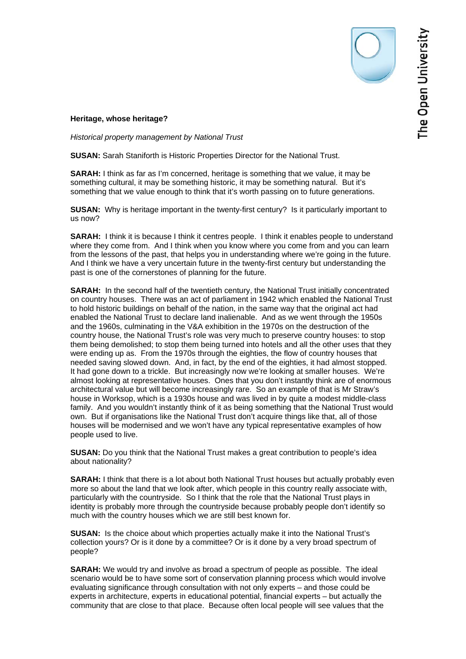## **Heritage, whose heritage?**

*Historical property management by National Trust*

**SUSAN:** Sarah Staniforth is Historic Properties Director for the National Trust.

**SARAH:** I think as far as I'm concerned, heritage is something that we value, it may be something cultural, it may be something historic, it may be something natural. But it's something that we value enough to think that it's worth passing on to future generations.

**SUSAN:** Why is heritage important in the twenty-first century? Is it particularly important to us now?

**SARAH:** I think it is because I think it centres people. I think it enables people to understand where they come from. And I think when you know where you come from and you can learn from the lessons of the past, that helps you in understanding where we're going in the future. And I think we have a very uncertain future in the twenty-first century but understanding the past is one of the cornerstones of planning for the future.

**SARAH:** In the second half of the twentieth century, the National Trust initially concentrated on country houses. There was an act of parliament in 1942 which enabled the National Trust to hold historic buildings on behalf of the nation, in the same way that the original act had enabled the National Trust to declare land inalienable. And as we went through the 1950s and the 1960s, culminating in the V&A exhibition in the 1970s on the destruction of the country house, the National Trust's role was very much to preserve country houses: to stop them being demolished; to stop them being turned into hotels and all the other uses that they were ending up as. From the 1970s through the eighties, the flow of country houses that needed saving slowed down. And, in fact, by the end of the eighties, it had almost stopped. It had gone down to a trickle. But increasingly now we're looking at smaller houses. We're almost looking at representative houses. Ones that you don't instantly think are of enormous architectural value but will become increasingly rare. So an example of that is Mr Straw's house in Worksop, which is a 1930s house and was lived in by quite a modest middle-class family. And you wouldn't instantly think of it as being something that the National Trust would own. But if organisations like the National Trust don't acquire things like that, all of those houses will be modernised and we won't have any typical representative examples of how people used to live.

**SUSAN:** Do you think that the National Trust makes a great contribution to people's idea about nationality?

**SARAH:** I think that there is a lot about both National Trust houses but actually probably even more so about the land that we look after, which people in this country really associate with, particularly with the countryside. So I think that the role that the National Trust plays in identity is probably more through the countryside because probably people don't identify so much with the country houses which we are still best known for.

**SUSAN:** Is the choice about which properties actually make it into the National Trust's collection yours? Or is it done by a committee? Or is it done by a very broad spectrum of people?

**SARAH:** We would try and involve as broad a spectrum of people as possible. The ideal scenario would be to have some sort of conservation planning process which would involve evaluating significance through consultation with not only experts – and those could be experts in architecture, experts in educational potential, financial experts – but actually the community that are close to that place. Because often local people will see values that the